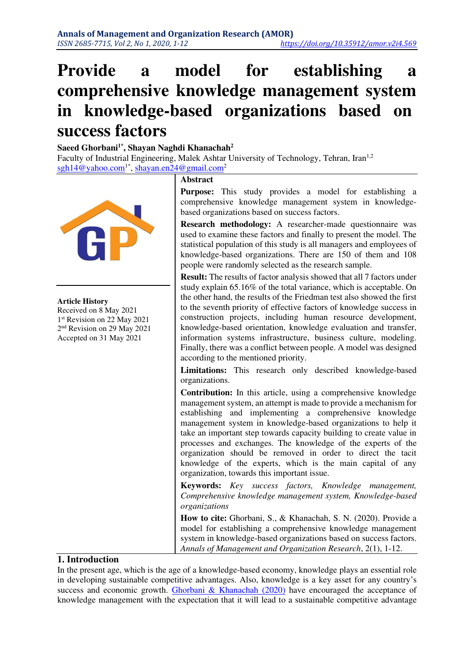# **Provide a model for establishing a comprehensive knowledge management system in knowledge-based organizations based on success factors**

#### **Saeed Ghorbani1\*, Shayan Naghdi Khanachah<sup>2</sup>**

Faculty of Industrial Engineering, Malek Ashtar University of Technology, Tehran, Iran<sup>1,2</sup> [sgh14@yahoo.com](mailto:sgh14@yahoo.com)<sup>1\*</sup>, [shayan.en24@gmail.com](mailto:shayan.en24@gmail.com)<sup>2</sup>



#### **Article History**

Received on 8 May 2021 1 st Revision on 22 May 2021 2 nd Revision on 29 May 2021 Accepted on 31 May 2021

#### **Abstract**

**Purpose:** This study provides a model for establishing a comprehensive knowledge management system in knowledgebased organizations based on success factors.

**Research methodology:** A researcher-made questionnaire was used to examine these factors and finally to present the model. The statistical population of this study is all managers and employees of knowledge-based organizations. There are 150 of them and 108 people were randomly selected as the research sample.

**Result:** The results of factor analysis showed that all 7 factors under study explain 65.16% of the total variance, which is acceptable. On the other hand, the results of the Friedman test also showed the first to the seventh priority of effective factors of knowledge success in construction projects, including human resource development, knowledge-based orientation, knowledge evaluation and transfer, information systems infrastructure, business culture, modeling. Finally, there was a conflict between people. A model was designed according to the mentioned priority.

**Limitations:** This research only described knowledge-based organizations.

**Contribution:** In this article, using a comprehensive knowledge management system, an attempt is made to provide a mechanism for establishing and implementing a comprehensive knowledge management system in knowledge-based organizations to help it take an important step towards capacity building to create value in processes and exchanges. The knowledge of the experts of the organization should be removed in order to direct the tacit knowledge of the experts, which is the main capital of any organization, towards this important issue.

**Keywords:** *Key success factors, Knowledge management, Comprehensive knowledge management system, Knowledge-based organizations* 

**How to cite:** Ghorbani, S., & Khanachah, S. N. (2020). Provide a model for establishing a comprehensive knowledge management system in knowledge-based organizations based on success factors. *Annals of Management and Organization Research*, 2(1), 1-12.

#### **1. Introduction**

In the present age, which is the age of a knowledge-based economy, knowledge plays an essential role in developing sustainable competitive advantages. Also, knowledge is a key asset for any country's success and economic growth. [Ghorbani & Khanachah \(2020\)](#page-10-0) have encouraged the acceptance of knowledge management with the expectation that it will lead to a sustainable competitive advantage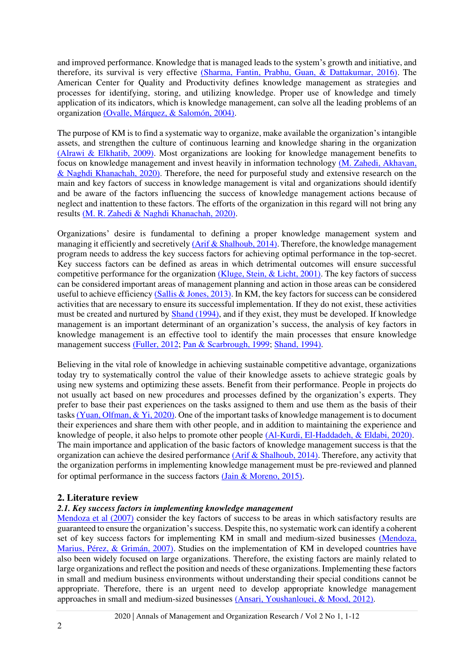and improved performance. Knowledge that is managed leads to the system's growth and initiative, and therefore, its survival is very effective [\(Sharma, Fantin, Prabhu, Guan, & Dattakumar, 2016\).](#page-11-0) The American Center for Quality and Productivity defines knowledge management as strategies and processes for identifying, storing, and utilizing knowledge. Proper use of knowledge and timely application of its indicators, which is knowledge management, can solve all the leading problems of an organizatio[n \(Ovalle, Márquez, & Salomón, 2004\).](#page-11-1)

The purpose of KM is to find a systematic way to organize, make available the organization's intangible assets, and strengthen the culture of continuous learning and knowledge sharing in the organization [\(Alrawi & Elkhatib, 2009\).](#page-10-1) Most organizations are looking for knowledge management benefits to focus on knowledge management and invest heavily in information technology [\(M. Zahedi, Akhavan,](#page-11-2)  & Naghdi Khanachah, 2020). Therefore, the need for purposeful study and extensive research on the main and key factors of success in knowledge management is vital and organizations should identify and be aware of the factors influencing the success of knowledge management actions because of neglect and inattention to these factors. The efforts of the organization in this regard will not bring any results [\(M. R. Zahedi & Naghdi Khanachah, 2020\).](#page-11-3)

Organizations' desire is fundamental to defining a proper knowledge management system and managing it efficiently and secretively [\(Arif & Shalhoub, 2014\).](#page-10-2) Therefore, the knowledge management program needs to address the key success factors for achieving optimal performance in the top-secret. Key success factors can be defined as areas in which detrimental outcomes will ensure successful competitive performance for the organizatio[n \(Kluge, Stein, & Licht, 2001\).](#page-10-3) The key factors of success can be considered important areas of management planning and action in those areas can be considered useful to achieve efficiency [\(Sallis & Jones, 2013\).](#page-11-4) In KM, the key factors for success can be considered activities that are necessary to ensure its successful implementation. If they do not exist, these activities must be created and nurtured by [Shand \(1994\),](#page-11-5) and if they exist, they must be developed. If knowledge management is an important determinant of an organization's success, the analysis of key factors in knowledge management is an effective tool to identify the main processes that ensure knowledge management success [\(Fuller, 2012;](#page-10-4) [Pan & Scarbrough, 1999;](#page-11-6) [Shand, 1994\).](#page-11-5)

Believing in the vital role of knowledge in achieving sustainable competitive advantage, organizations today try to systematically control the value of their knowledge assets to achieve strategic goals by using new systems and optimizing these assets. Benefit from their performance. People in projects do not usually act based on new procedures and processes defined by the organization's experts. They prefer to base their past experiences on the tasks assigned to them and use them as the basis of their task[s \(Yuan, Olfman, & Yi, 2020\).](#page-11-7) One of the important tasks of knowledge management is to document their experiences and share them with other people, and in addition to maintaining the experience and knowledge of people, it also helps to promote other people [\(Al-Kurdi, El-Haddadeh, & Eldabi, 2020\).](#page-10-5) The main importance and application of the basic factors of knowledge management success is that the organization can achieve the desired performance (Arif  $&$  Shalhoub, 2014). Therefore, any activity that the organization performs in implementing knowledge management must be pre-reviewed and planned for optimal performance in the success factors [\(Jain & Moreno, 2015\)](#page-10-6).

#### **2. Literature review**

#### *2.1. Key success factors in implementing knowledge management*

[Mendoza et al \(2007\)](#page-11-8) consider the key factors of success to be areas in which satisfactory results are guaranteed to ensure the organization's success. Despite this, no systematic work can identify a coherent set of key success factors for implementing KM in small and medium-sized businesses [\(Mendoza,](#page-11-8)  Marius, Pérez, & Grimán, 2007). Studies on the implementation of KM in developed countries have also been widely focused on large organizations. Therefore, the existing factors are mainly related to large organizations and reflect the position and needs of these organizations. Implementing these factors in small and medium business environments without understanding their special conditions cannot be appropriate. Therefore, there is an urgent need to develop appropriate knowledge management approaches in small and medium-sized businesses [\(Ansari, Youshanlouei, & Mood, 2012\).](#page-10-7)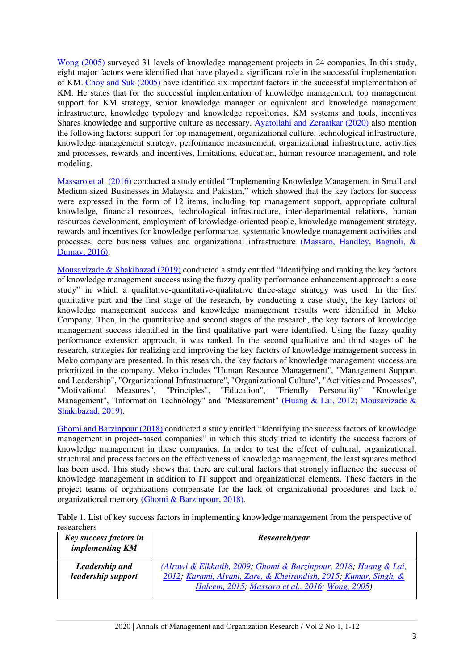[Wong \(2005\)](#page-11-9) surveyed 31 levels of knowledge management projects in 24 companies. In this study, eight major factors were identified that have played a significant role in the successful implementation of KM. [Choy and Suk \(2005\)](#page-10-8) have identified six important factors in the successful implementation of KM. He states that for the successful implementation of knowledge management, top management support for KM strategy, senior knowledge manager or equivalent and knowledge management infrastructure, knowledge typology and knowledge repositories, KM systems and tools, incentives Shares knowledge and supportive culture as necessary. [Ayatollahi and Zeraatkar \(2020\)](#page-10-9) also mention the following factors: support for top management, organizational culture, technological infrastructure, knowledge management strategy, performance measurement, organizational infrastructure, activities and processes, rewards and incentives, limitations, education, human resource management, and role modeling.

[Massaro et al. \(2016\)](#page-10-10) conducted a study entitled "Implementing Knowledge Management in Small and Medium-sized Businesses in Malaysia and Pakistan," which showed that the key factors for success were expressed in the form of 12 items, including top management support, appropriate cultural knowledge, financial resources, technological infrastructure, inter-departmental relations, human resources development, employment of knowledge-oriented people, knowledge management strategy, rewards and incentives for knowledge performance, systematic knowledge management activities and processes, core business values and organizational infrastructure [\(Massaro, Handley, Bagnoli, &](#page-10-10)  Dumay, 2016).

[Mousavizade & Shakibazad \(2019\)](#page-11-10) conducted a study entitled "Identifying and ranking the key factors of knowledge management success using the fuzzy quality performance enhancement approach: a case study" in which a qualitative-quantitative-qualitative three-stage strategy was used. In the first qualitative part and the first stage of the research, by conducting a case study, the key factors of knowledge management success and knowledge management results were identified in Meko Company. Then, in the quantitative and second stages of the research, the key factors of knowledge management success identified in the first qualitative part were identified. Using the fuzzy quality performance extension approach, it was ranked. In the second qualitative and third stages of the research, strategies for realizing and improving the key factors of knowledge management success in Meko company are presented. In this research, the key factors of knowledge management success are prioritized in the company. Meko includes "Human Resource Management", "Management Support and Leadership", "Organizational Infrastructure", "Organizational Culture", "Activities and Processes", "Motivational Measures". "Principles". "Education". "Friendly Personality" "Knowledge "Principles", "Education", "Friendly Personality" "Knowledge Management", "Information Technology" and "Measurement" [\(Huang & Lai, 2012;](#page-10-11) [Mousavizade &](#page-11-10)  [Shakibazad, 2019\).](#page-11-10)

[Ghomi and Barzinpour \(2018\)](#page-10-12) conducted a study entitled "Identifying the success factors of knowledge management in project-based companies" in which this study tried to identify the success factors of knowledge management in these companies. In order to test the effect of cultural, organizational, structural and process factors on the effectiveness of knowledge management, the least squares method has been used. This study shows that there are cultural factors that strongly influence the success of knowledge management in addition to IT support and organizational elements. These factors in the project teams of organizations compensate for the lack of organizational procedures and lack of organizational memory [\(Ghomi & Barzinpour, 2018\).](#page-10-12)

| Table 1. List of key success factors in implementing knowledge management from the perspective of |  |  |  |  |
|---------------------------------------------------------------------------------------------------|--|--|--|--|
| researchers                                                                                       |  |  |  |  |

| Key success factors in<br>implementing KM | Research/year                                                    |
|-------------------------------------------|------------------------------------------------------------------|
| Leadership and                            | (Alrawi & Elkhatib, 2009; Ghomi & Barzinpour, 2018; Huang & Lai, |
| leadership support                        | 2012; Karami, Alvani, Zare, & Kheirandish, 2015; Kumar, Singh, & |
|                                           | Haleem, 2015; Massaro et al., 2016; Wong, 2005)                  |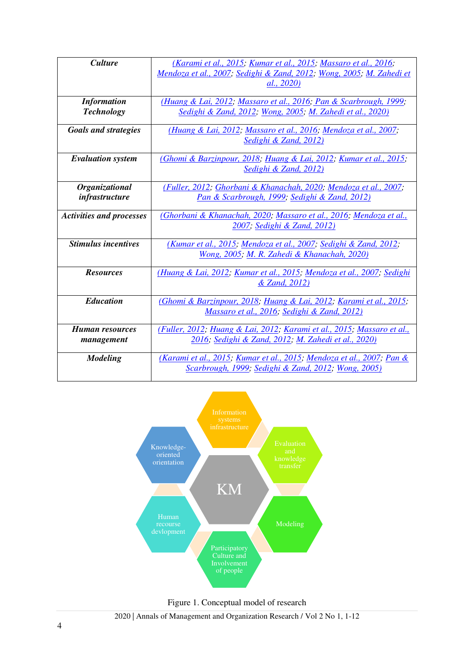| <b>Culture</b>                  | (Karami et al., 2015; Kumar et al., 2015; Massaro et al., 2016;                  |
|---------------------------------|----------------------------------------------------------------------------------|
|                                 | Mendoza et al., 2007; Sedighi & Zand, 2012; Wong, 2005; M. Zahedi et             |
|                                 | al., 2020)                                                                       |
|                                 |                                                                                  |
| <b>Information</b>              | (Huang & Lai, 2012; Massaro et al., 2016; Pan & Scarbrough, 1999;                |
| <b>Technology</b>               | Sedighi & Zand, 2012; Wong, 2005; M. Zahedi et al., 2020)                        |
|                                 |                                                                                  |
| <b>Goals and strategies</b>     | (Huang & Lai, 2012; Massaro et al., 2016; Mendoza et al., 2007;                  |
|                                 | Sedighi & Zand, 2012)                                                            |
|                                 |                                                                                  |
| <b>Evaluation</b> system        | (Ghomi & Barzinpour, 2018; Huang & Lai, 2012; Kumar et al., 2015;                |
|                                 | Sedighi & Zand, 2012)                                                            |
|                                 |                                                                                  |
| <b>Organizational</b>           | (Fuller, 2012; Ghorbani & Khanachah, 2020; Mendoza et al., 2007;                 |
| infrastructure                  | Pan & Scarbrough, 1999; Sedighi & Zand, 2012)                                    |
|                                 |                                                                                  |
| <b>Activities and processes</b> | (Ghorbani & Khanachah, 2020; Massaro et al., 2016; Mendoza et al.,               |
|                                 | 2007; Sedighi & Zand, 2012)                                                      |
|                                 |                                                                                  |
| <b>Stimulus incentives</b>      | (Kumar et al., 2015; Mendoza et al., 2007; Sedighi & Zand, 2012;                 |
|                                 | Wong, 2005; M. R. Zahedi & Khanachah, 2020)                                      |
|                                 |                                                                                  |
| <b>Resources</b>                | (Huang & Lai, 2012, Kumar et al., 2015, Mendoza et al., 2007; Sedighi            |
|                                 | & Zand, 2012)                                                                    |
|                                 |                                                                                  |
| <b>Education</b>                | (Ghomi & Barzinpour, 2018, Huang & Lai, 2012; Karami et al., 2015;               |
|                                 | Massaro et al., 2016; Sedighi & Zand, 2012)                                      |
|                                 |                                                                                  |
| <b>Human resources</b>          | (Fuller, 2012; Huang & Lai, 2012; Karami et al., 2015; Massaro et al.,           |
| management                      | 2016; Sedighi & Zand, 2012; M. Zahedi et al., 2020)                              |
|                                 |                                                                                  |
| <b>Modeling</b>                 | <u>(Karami et al., 2015; Kumar et al., 2015; Mendoza et al., 2007; Pan &amp;</u> |
|                                 | Scarbrough, 1999; Sedighi & Zand, 2012; Wong, 2005)                              |
|                                 |                                                                                  |





2020 | Annals of Management and Organization Research / Vol 2 No 1, 1-12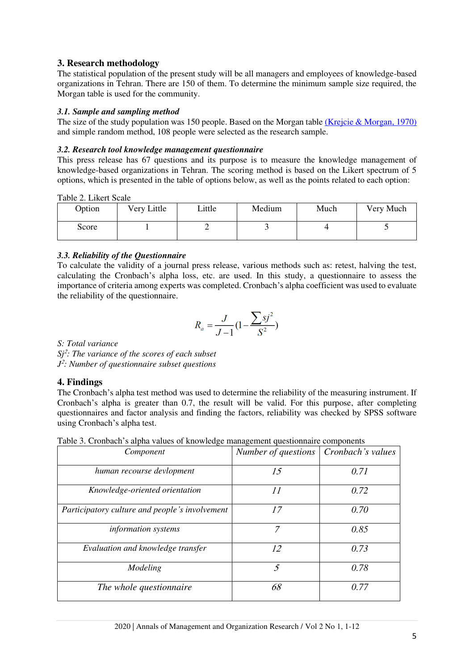## **3. Research methodology**

The statistical population of the present study will be all managers and employees of knowledge-based organizations in Tehran. There are 150 of them. To determine the minimum sample size required, the Morgan table is used for the community.

## *3.1. Sample and sampling method*

The size of the study population was 150 people. Based on the Morgan table [\(Krejcie & Morgan, 1970\)](#page-10-10) and simple random method, 108 people were selected as the research sample.

### *3.2. Research tool knowledge management questionnaire*

This press release has 67 questions and its purpose is to measure the knowledge management of knowledge-based organizations in Tehran. The scoring method is based on the Likert spectrum of 5 options, which is presented in the table of options below, as well as the points related to each option:

Table 2. Likert Scale

| Option | Very Little | Little | Medium | Much | Very Much |
|--------|-------------|--------|--------|------|-----------|
| Score  |             |        |        |      |           |

## *3.3. Reliability of the Questionnaire*

To calculate the validity of a journal press release, various methods such as: retest, halving the test, calculating the Cronbach's alpha loss, etc. are used. In this study, a questionnaire to assess the importance of criteria among experts was completed. Cronbach's alpha coefficient was used to evaluate the reliability of the questionnaire .

$$
R_a = \frac{J}{J-1} (1 - \frac{\sum sj^2}{S^2})
$$

*S: Total variance*

*Sj*<sup>2</sup> *: The variance of the scores of each subset J* 2 *: Number of questionnaire subset questions*

## **4. Findings**

The Cronbach's alpha test method was used to determine the reliability of the measuring instrument. If Cronbach's alpha is greater than 0.7, the result will be valid. For this purpose, after completing questionnaires and factor analysis and finding the factors, reliability was checked by SPSS software using Cronbach's alpha test.

|--|

| Component                                      | Number of questions | Cronbach's values |
|------------------------------------------------|---------------------|-------------------|
| human recourse devlopment                      | 15                  | 0.71              |
| Knowledge-oriented orientation                 | 11                  | 0.72              |
| Participatory culture and people's involvement | 17                  | 0.70              |
| <i>information systems</i>                     | 7                   | 0.85              |
| Evaluation and knowledge transfer              | 12                  | 0.73              |
| Modeling                                       | $\mathcal{F}$       | 0.78              |
| The whole questionnaire                        | 68                  | 0.77              |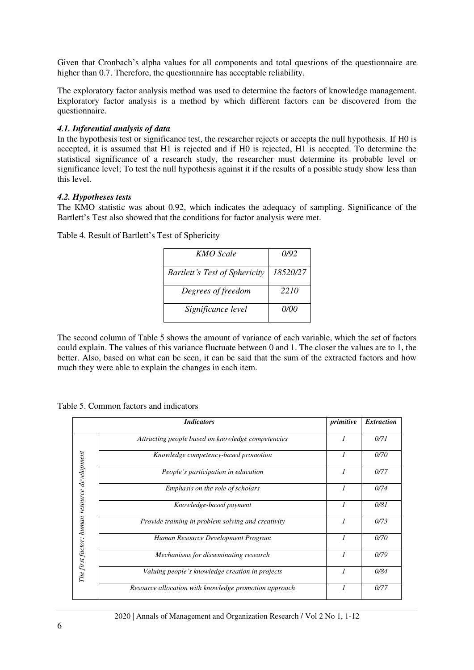Given that Cronbach's alpha values for all components and total questions of the questionnaire are higher than 0.7. Therefore, the questionnaire has acceptable reliability.

The exploratory factor analysis method was used to determine the factors of knowledge management. Exploratory factor analysis is a method by which different factors can be discovered from the questionnaire.

#### *4.1. Inferential analysis of data*

In the hypothesis test or significance test, the researcher rejects or accepts the null hypothesis. If H0 is accepted, it is assumed that H1 is rejected and if H0 is rejected, H1 is accepted. To determine the statistical significance of a research study, the researcher must determine its probable level or significance level; To test the null hypothesis against it if the results of a possible study show less than this level.

#### *4.2. Hypotheses tests*

The KMO statistic was about 0.92, which indicates the adequacy of sampling. Significance of the Bartlett's Test also showed that the conditions for factor analysis were met.

Table 4. Result of Bartlett's Test of Sphericity

| KMO Scale                            | (1/92    |
|--------------------------------------|----------|
| <b>Bartlett's Test of Sphericity</b> | 18520/27 |
| Degrees of freedom                   | 2210     |
| Significance level                   | 0/00     |

The second column of Table 5 shows the amount of variance of each variable, which the set of factors could explain. The values of this variance fluctuate between 0 and 1. The closer the values are to 1, the better. Also, based on what can be seen, it can be said that the sum of the extracted factors and how much they were able to explain the changes in each item.

Table 5. Common factors and indicators

|                                              | <b>Indicators</b>                                     | primitive      | <b>Extraction</b> |
|----------------------------------------------|-------------------------------------------------------|----------------|-------------------|
|                                              | Attracting people based on knowledge competencies     | 1              | 0/71              |
|                                              | Knowledge competency-based promotion                  | 1              | 0/70              |
|                                              | People's participation in education                   | 1              | 0/77              |
|                                              | Emphasis on the role of scholars                      | 1              | 0/74              |
| The first factor: human resource development | Knowledge-based payment                               | 1              | 0/81              |
|                                              | Provide training in problem solving and creativity    | $\overline{I}$ | 0/73              |
|                                              | Human Resource Development Program                    | 1              | 0/70              |
|                                              | Mechanisms for disseminating research                 | 1              | 0/79              |
|                                              | Valuing people's knowledge creation in projects       | 1              | 0/84              |
|                                              | Resource allocation with knowledge promotion approach |                | 0/77              |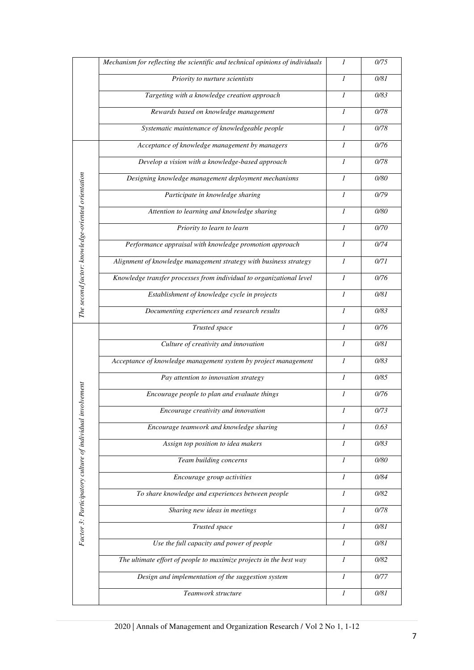|                                                           | Mechanism for reflecting the scientific and technical opinions of individuals | 1              | 0/75   |
|-----------------------------------------------------------|-------------------------------------------------------------------------------|----------------|--------|
|                                                           | Priority to nurture scientists                                                | $\mathcal I$   | 0/81   |
|                                                           | Targeting with a knowledge creation approach                                  | 1              | 0/83   |
|                                                           | Rewards based on knowledge management                                         | 1              | 0/78   |
|                                                           | Systematic maintenance of knowledgeable people                                | 1              | 0/78   |
|                                                           | Acceptance of knowledge management by managers                                | $\mathcal{I}$  | 0/76   |
|                                                           | Develop a vision with a knowledge-based approach                              | 1              | 0/78   |
|                                                           | Designing knowledge management deployment mechanisms                          | $\mathcal I$   | 0/80   |
|                                                           | Participate in knowledge sharing                                              | $\mathcal I$   | 0/79   |
|                                                           | Attention to learning and knowledge sharing                                   | $\mathcal{I}$  | 0/80   |
| The second factor: knowledge-oriented orientation         | Priority to learn to learn                                                    | $\mathcal{I}$  | 0/70   |
|                                                           | Performance appraisal with knowledge promotion approach                       | $\mathfrak{I}$ | 0/74   |
|                                                           | Alignment of knowledge management strategy with business strategy             | $\mathcal I$   | 0/71   |
|                                                           | Knowledge transfer processes from individual to organizational level          | $\mathfrak{I}$ | 0/76   |
|                                                           | Establishment of knowledge cycle in projects                                  | $\mathcal{I}$  | 0/81   |
|                                                           | Documenting experiences and research results                                  | 1              | 0/83   |
|                                                           | Trusted space                                                                 | $\mathcal{I}$  | 0/76   |
|                                                           | Culture of creativity and innovation                                          | 1              | 0/81   |
|                                                           | Acceptance of knowledge management system by project management               | $\mathcal{I}$  | 0/83   |
|                                                           | Pay attention to innovation strategy                                          | 1              | 0/85   |
|                                                           | Encourage people to plan and evaluate things                                  | $\mathcal{I}$  | 0/76   |
| Factor 3: Participatory culture of individual involvement | Encourage creativity and innovation                                           | 1              | 0/73   |
|                                                           | Encourage teamwork and knowledge sharing                                      | $\mathcal{I}$  | 0.63   |
|                                                           | Assign top position to idea makers                                            | 1              | 0/83   |
|                                                           | Team building concerns                                                        | $\mathcal I$   | 0/80   |
|                                                           | Encourage group activities                                                    | 1              | 0/84   |
|                                                           | To share knowledge and experiences between people                             | $\mathcal{I}$  | 0/82   |
|                                                           | Sharing new ideas in meetings                                                 | $\mathcal{I}$  | 0/78   |
|                                                           | Trusted space                                                                 | $\mathcal{I}$  | $0/81$ |
|                                                           | Use the full capacity and power of people                                     | $\mathcal I$   | 0/81   |
|                                                           | The ultimate effort of people to maximize projects in the best way            | $\mathcal{I}$  | 0/82   |
|                                                           | Design and implementation of the suggestion system                            | $\mathcal{I}$  | 0/77   |
|                                                           | Teamwork structure                                                            | $\mathcal{I}$  | 0/81   |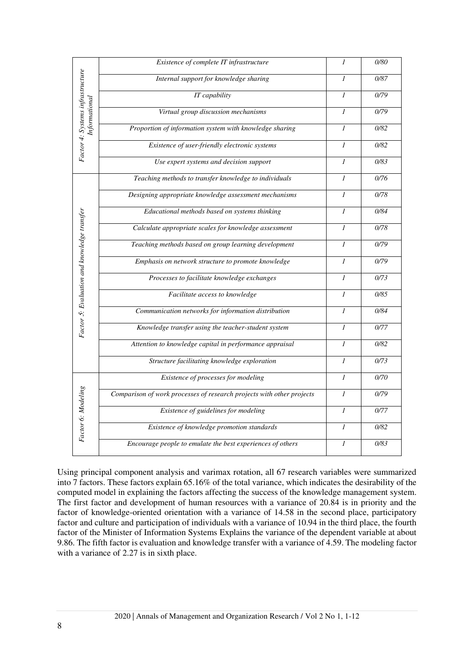|                                             | Existence of complete IT infrastructure                               | $\mathcal{I}$    | 0/80 |
|---------------------------------------------|-----------------------------------------------------------------------|------------------|------|
|                                             | Internal support for knowledge sharing                                | $\mathcal I$     | 0/87 |
|                                             | IT capability                                                         | $\mathcal{I}$    | 0/79 |
| Informational                               | Virtual group discussion mechanisms                                   | $\mathcal{I}$    | 0/79 |
|                                             | Proportion of information system with knowledge sharing               | $\mathcal{I}$    | 0/82 |
| Factor 4: Systems infrastructure            | Existence of user-friendly electronic systems                         | $\mathcal{I}$    | 0/82 |
|                                             | Use expert systems and decision support                               | $\mathcal{I}$    | 0/83 |
|                                             | Teaching methods to transfer knowledge to individuals                 | $\mathcal{I}$    | 0/76 |
|                                             | Designing appropriate knowledge assessment mechanisms                 | $\mathcal{I}$    | 0/78 |
|                                             | Educational methods based on systems thinking                         | $\mathcal{I}$    | 0/84 |
|                                             | Calculate appropriate scales for knowledge assessment                 | 1                | 0/78 |
|                                             | Teaching methods based on group learning development                  | 1                | 0/79 |
|                                             | Emphasis on network structure to promote knowledge                    | $\mathcal{I}$    | 0/79 |
|                                             | Processes to facilitate knowledge exchanges                           | $\mathcal{I}$    | 0/73 |
|                                             | Facilitate access to knowledge                                        | $\mathcal{I}$    | 0/85 |
|                                             | Communication networks for information distribution                   | $\mathcal{I}$    | 0/84 |
| Factor 5: Evaluation and knowledge transfer | Knowledge transfer using the teacher-student system                   | $\mathcal{I}$    | 0/77 |
|                                             | Attention to knowledge capital in performance appraisal               | $\mathfrak{I}$   | 0/82 |
|                                             | Structure facilitating knowledge exploration                          | $\mathcal I$     | 0/73 |
| Factor 6: Modeling                          | Existence of processes for modeling                                   | $\mathcal{I}$    | 0/70 |
|                                             | Comparison of work processes of research projects with other projects | $\mathcal{I}$    | 0/79 |
|                                             | Existence of guidelines for modeling                                  | $\mathcal{I}$    | 0/77 |
|                                             | Existence of knowledge promotion standards                            | $\mathcal{I}$    | 0/82 |
|                                             | Encourage people to emulate the best experiences of others            | $\boldsymbol{l}$ | 0/83 |

Using principal component analysis and varimax rotation, all 67 research variables were summarized into 7 factors. These factors explain 65.16% of the total variance, which indicates the desirability of the computed model in explaining the factors affecting the success of the knowledge management system. The first factor and development of human resources with a variance of 20.84 is in priority and the factor of knowledge-oriented orientation with a variance of 14.58 in the second place, participatory factor and culture and participation of individuals with a variance of 10.94 in the third place, the fourth factor of the Minister of Information Systems Explains the variance of the dependent variable at about 9.86. The fifth factor is evaluation and knowledge transfer with a variance of 4.59. The modeling factor with a variance of 2.27 is in sixth place.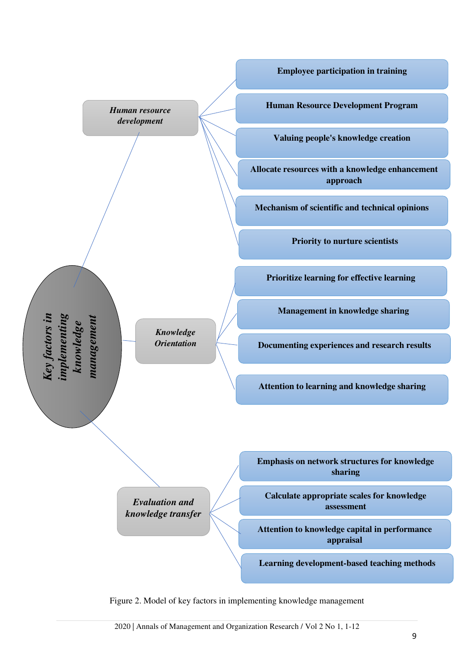

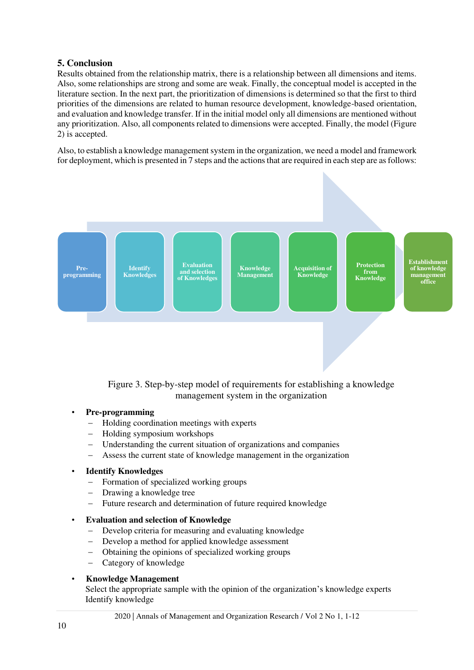## **5. Conclusion**

Results obtained from the relationship matrix, there is a relationship between all dimensions and items. Also, some relationships are strong and some are weak. Finally, the conceptual model is accepted in the literature section. In the next part, the prioritization of dimensions is determined so that the first to third priorities of the dimensions are related to human resource development, knowledge-based orientation, and evaluation and knowledge transfer. If in the initial model only all dimensions are mentioned without any prioritization. Also, all components related to dimensions were accepted. Finally, the model (Figure 2) is accepted.

Also, to establish a knowledge management system in the organization, we need a model and framework for deployment, which is presented in 7 steps and the actions that are required in each step are as follows:



Figure 3. Step-by-step model of requirements for establishing a knowledge management system in the organization

#### • **Pre-programming**

- − Holding coordination meetings with experts
- − Holding symposium workshops
- Understanding the current situation of organizations and companies
- Assess the current state of knowledge management in the organization

## • **Identify Knowledges**

- Formation of specialized working groups
- − Drawing a knowledge tree
- − Future research and determination of future required knowledge

#### • **Evaluation and selection of Knowledge**

- Develop criteria for measuring and evaluating knowledge
- − Develop a method for applied knowledge assessment
- − Obtaining the opinions of specialized working groups
- − Category of knowledge

### • **Knowledge Management**

Select the appropriate sample with the opinion of the organization's knowledge experts Identify knowledge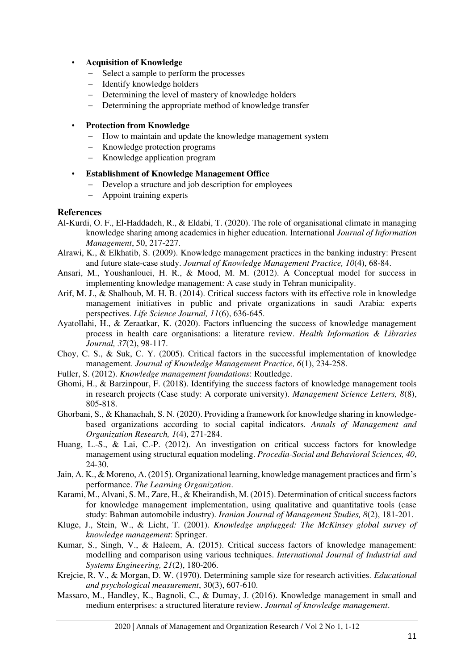#### • **Acquisition of Knowledge**

- − Select a sample to perform the processes
- − Identify knowledge holders
- − Determining the level of mastery of knowledge holders
- − Determining the appropriate method of knowledge transfer

#### • **Protection from Knowledge**

- − How to maintain and update the knowledge management system
- − Knowledge protection programs
- − Knowledge application program

#### • **Establishment of Knowledge Management Office**

- − Develop a structure and job description for employees
- − Appoint training experts

#### **References**

- <span id="page-10-5"></span>Al-Kurdi, O. F., El-Haddadeh, R., & Eldabi, T. (2020). The role of organisational climate in managing knowledge sharing among academics in higher education. International *Journal of Information Management*, 50, 217-227.
- <span id="page-10-1"></span>Alrawi, K., & Elkhatib, S. (2009). Knowledge management practices in the banking industry: Present and future state-case study. *Journal of Knowledge Management Practice, 10*(4), 68-84.
- <span id="page-10-7"></span>Ansari, M., Youshanlouei, H. R., & Mood, M. M. (2012). A Conceptual model for success in implementing knowledge management: A case study in Tehran municipality.
- <span id="page-10-2"></span>Arif, M. J., & Shalhoub, M. H. B. (2014). Critical success factors with its effective role in knowledge management initiatives in public and private organizations in saudi Arabia: experts perspectives. *Life Science Journal, 11*(6), 636-645.
- <span id="page-10-9"></span>Ayatollahi, H., & Zeraatkar, K. (2020). Factors influencing the success of knowledge management process in health care organisations: a literature review. *Health Information & Libraries Journal, 37*(2), 98-117.
- <span id="page-10-8"></span>Choy, C. S., & Suk, C. Y. (2005). Critical factors in the successful implementation of knowledge management. *Journal of Knowledge Management Practice, 6*(1), 234-258.
- <span id="page-10-4"></span>Fuller, S. (2012). *Knowledge management foundations*: Routledge.
- <span id="page-10-12"></span>Ghomi, H., & Barzinpour, F. (2018). Identifying the success factors of knowledge management tools in research projects (Case study: A corporate university). *Management Science Letters, 8*(8), 805-818.
- <span id="page-10-0"></span>Ghorbani, S., & Khanachah, S. N. (2020). Providing a framework for knowledge sharing in knowledgebased organizations according to social capital indicators. *Annals of Management and Organization Research, 1*(4), 271-284.
- <span id="page-10-11"></span>Huang, L.-S., & Lai, C.-P. (2012). An investigation on critical success factors for knowledge management using structural equation modeling. *Procedia-Social and Behavioral Sciences, 40*, 24-30.
- <span id="page-10-6"></span>Jain, A. K., & Moreno, A. (2015). Organizational learning, knowledge management practices and firm's performance. *The Learning Organization*.
- <span id="page-10-13"></span>Karami, M., Alvani, S. M., Zare, H., & Kheirandish, M. (2015). Determination of critical success factors for knowledge management implementation, using qualitative and quantitative tools (case study: Bahman automobile industry). *Iranian Journal of Management Studies, 8*(2), 181-201.
- <span id="page-10-3"></span>Kluge, J., Stein, W., & Licht, T. (2001). *Knowledge unplugged: The McKinsey global survey of knowledge management*: Springer.
- <span id="page-10-14"></span>Kumar, S., Singh, V., & Haleem, A. (2015). Critical success factors of knowledge management: modelling and comparison using various techniques. *International Journal of Industrial and Systems Engineering, 21*(2), 180-206.
- <span id="page-10-10"></span>Krejcie, R. V., & Morgan, D. W. (1970). Determining sample size for research activities. *Educational and psychological measurement*, 30(3), 607-610.
- Massaro, M., Handley, K., Bagnoli, C., & Dumay, J. (2016). Knowledge management in small and medium enterprises: a structured literature review. *Journal of knowledge management*.